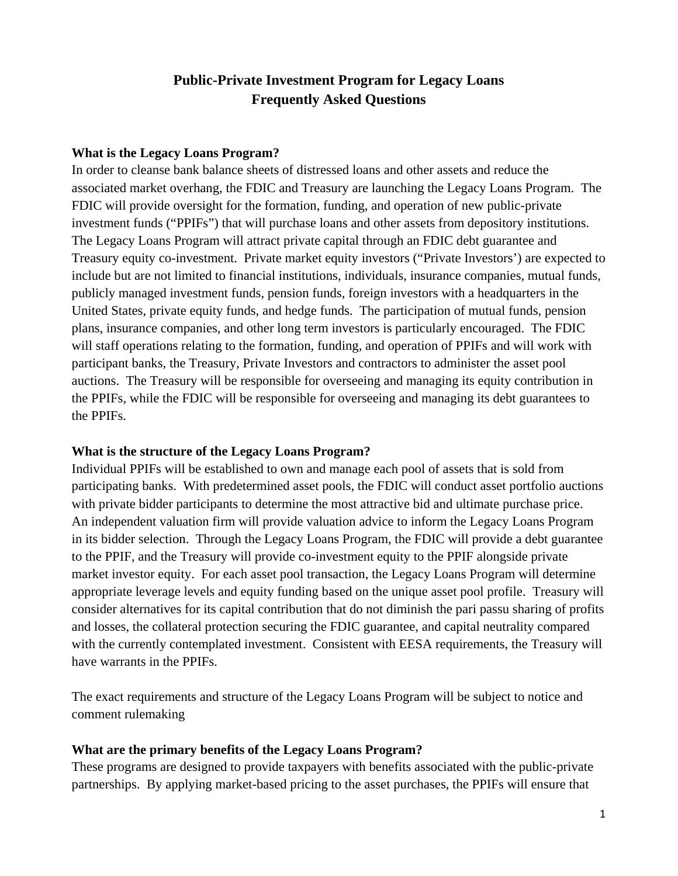# **Public-Private Investment Program for Legacy Loans Frequently Asked Questions**

#### **What is the Legacy Loans Program?**

In order to cleanse bank balance sheets of distressed loans and other assets and reduce the associated market overhang, the FDIC and Treasury are launching the Legacy Loans Program. The FDIC will provide oversight for the formation, funding, and operation of new public-private investment funds ("PPIFs") that will purchase loans and other assets from depository institutions. The Legacy Loans Program will attract private capital through an FDIC debt guarantee and Treasury equity co-investment. Private market equity investors ("Private Investors') are expected to include but are not limited to financial institutions, individuals, insurance companies, mutual funds, publicly managed investment funds, pension funds, foreign investors with a headquarters in the United States, private equity funds, and hedge funds. The participation of mutual funds, pension plans, insurance companies, and other long term investors is particularly encouraged. The FDIC will staff operations relating to the formation, funding, and operation of PPIFs and will work with participant banks, the Treasury, Private Investors and contractors to administer the asset pool auctions. The Treasury will be responsible for overseeing and managing its equity contribution in the PPIFs, while the FDIC will be responsible for overseeing and managing its debt guarantees to the PPIFs.

#### **What is the structure of the Legacy Loans Program?**

Individual PPIFs will be established to own and manage each pool of assets that is sold from participating banks. With predetermined asset pools, the FDIC will conduct asset portfolio auctions with private bidder participants to determine the most attractive bid and ultimate purchase price. An independent valuation firm will provide valuation advice to inform the Legacy Loans Program in its bidder selection. Through the Legacy Loans Program, the FDIC will provide a debt guarantee to the PPIF, and the Treasury will provide co-investment equity to the PPIF alongside private market investor equity. For each asset pool transaction, the Legacy Loans Program will determine appropriate leverage levels and equity funding based on the unique asset pool profile. Treasury will consider alternatives for its capital contribution that do not diminish the pari passu sharing of profits and losses, the collateral protection securing the FDIC guarantee, and capital neutrality compared with the currently contemplated investment. Consistent with EESA requirements, the Treasury will have warrants in the PPIFs.

The exact requirements and structure of the Legacy Loans Program will be subject to notice and comment rulemaking

#### **What are the primary benefits of the Legacy Loans Program?**

These programs are designed to provide taxpayers with benefits associated with the public-private partnerships. By applying market-based pricing to the asset purchases, the PPIFs will ensure that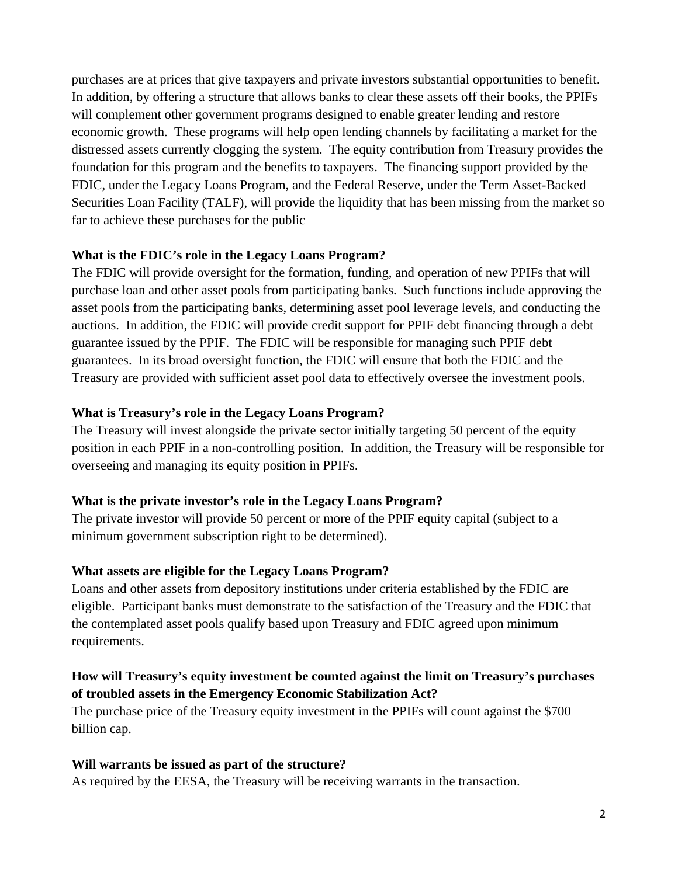purchases are at prices that give taxpayers and private investors substantial opportunities to benefit. In addition, by offering a structure that allows banks to clear these assets off their books, the PPIFs will complement other government programs designed to enable greater lending and restore economic growth. These programs will help open lending channels by facilitating a market for the distressed assets currently clogging the system. The equity contribution from Treasury provides the foundation for this program and the benefits to taxpayers. The financing support provided by the FDIC, under the Legacy Loans Program, and the Federal Reserve, under the Term Asset-Backed Securities Loan Facility (TALF), will provide the liquidity that has been missing from the market so far to achieve these purchases for the public

#### **What is the FDIC's role in the Legacy Loans Program?**

The FDIC will provide oversight for the formation, funding, and operation of new PPIFs that will purchase loan and other asset pools from participating banks. Such functions include approving the asset pools from the participating banks, determining asset pool leverage levels, and conducting the auctions. In addition, the FDIC will provide credit support for PPIF debt financing through a debt guarantee issued by the PPIF. The FDIC will be responsible for managing such PPIF debt guarantees. In its broad oversight function, the FDIC will ensure that both the FDIC and the Treasury are provided with sufficient asset pool data to effectively oversee the investment pools.

### **What is Treasury's role in the Legacy Loans Program?**

The Treasury will invest alongside the private sector initially targeting 50 percent of the equity position in each PPIF in a non-controlling position. In addition, the Treasury will be responsible for overseeing and managing its equity position in PPIFs.

# **What is the private investor's role in the Legacy Loans Program?**

The private investor will provide 50 percent or more of the PPIF equity capital (subject to a minimum government subscription right to be determined).

# **What assets are eligible for the Legacy Loans Program?**

Loans and other assets from depository institutions under criteria established by the FDIC are eligible. Participant banks must demonstrate to the satisfaction of the Treasury and the FDIC that the contemplated asset pools qualify based upon Treasury and FDIC agreed upon minimum requirements.

# **How will Treasury's equity investment be counted against the limit on Treasury's purchases of troubled assets in the Emergency Economic Stabilization Act?**

The purchase price of the Treasury equity investment in the PPIFs will count against the \$700 billion cap.

# **Will warrants be issued as part of the structure?**

As required by the EESA, the Treasury will be receiving warrants in the transaction.